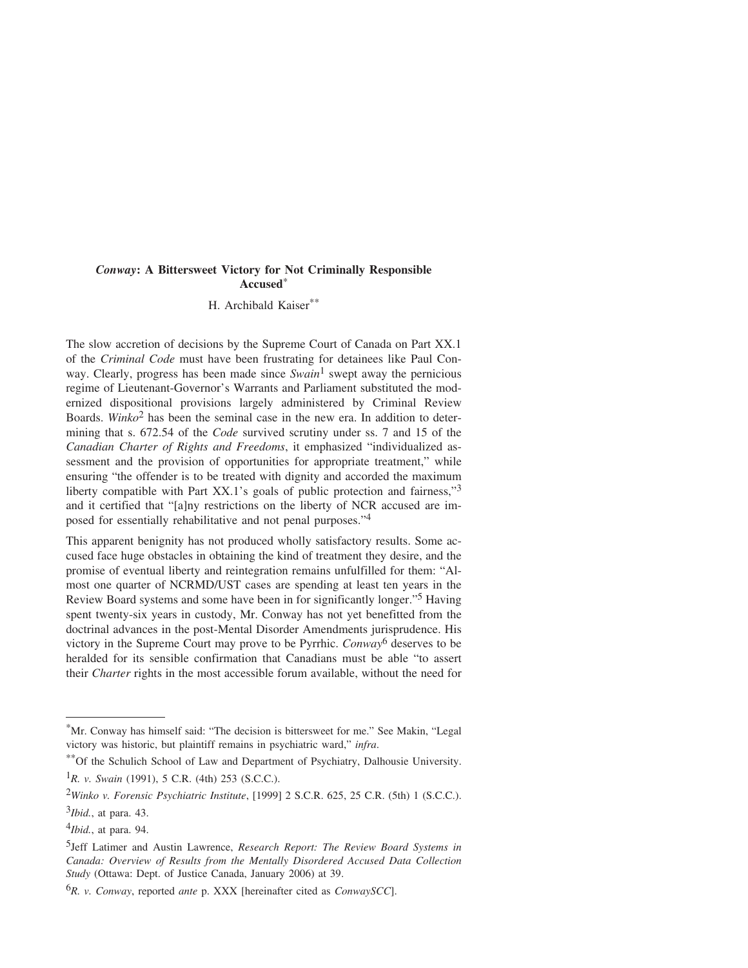H. Archibald Kaiser\*\*

The slow accretion of decisions by the Supreme Court of Canada on Part XX.1 of the *Criminal Code* must have been frustrating for detainees like Paul Conway. Clearly, progress has been made since *Swain*1 swept away the pernicious regime of Lieutenant-Governor's Warrants and Parliament substituted the modernized dispositional provisions largely administered by Criminal Review Boards. *Winko*2 has been the seminal case in the new era. In addition to determining that s. 672.54 of the *Code* survived scrutiny under ss. 7 and 15 of the *Canadian Charter of Rights and Freedoms*, it emphasized "individualized assessment and the provision of opportunities for appropriate treatment," while ensuring "the offender is to be treated with dignity and accorded the maximum liberty compatible with Part XX.1's goals of public protection and fairness,"<sup>3</sup> and it certified that "[a]ny restrictions on the liberty of NCR accused are imposed for essentially rehabilitative and not penal purposes."4

This apparent benignity has not produced wholly satisfactory results. Some accused face huge obstacles in obtaining the kind of treatment they desire, and the promise of eventual liberty and reintegration remains unfulfilled for them: "Almost one quarter of NCRMD/UST cases are spending at least ten years in the Review Board systems and some have been in for significantly longer."5 Having spent twenty-six years in custody, Mr. Conway has not yet benefitted from the doctrinal advances in the post-Mental Disorder Amendments jurisprudence. His victory in the Supreme Court may prove to be Pyrrhic. *Conway*6 deserves to be heralded for its sensible confirmation that Canadians must be able "to assert their *Charter* rights in the most accessible forum available, without the need for

<sup>\*</sup>Mr. Conway has himself said: "The decision is bittersweet for me." See Makin, "Legal victory was historic, but plaintiff remains in psychiatric ward," *infra*.

<sup>\*\*</sup>Of the Schulich School of Law and Department of Psychiatry, Dalhousie University. 1*R. v. Swain* (1991), 5 C.R. (4th) 253 (S.C.C.).

<sup>2</sup>*Winko v. Forensic Psychiatric Institute*, [1999] 2 S.C.R. 625, 25 C.R. (5th) 1 (S.C.C.).

<sup>3</sup>*Ibid.*, at para. 43.

<sup>4</sup>*Ibid.*, at para. 94.

<sup>5</sup>Jeff Latimer and Austin Lawrence, *Research Report: The Review Board Systems in Canada: Overview of Results from the Mentally Disordered Accused Data Collection Study* (Ottawa: Dept. of Justice Canada, January 2006) at 39.

<sup>6</sup>*R. v. Conway*, reported *ante* p. XXX [hereinafter cited as *ConwaySCC*].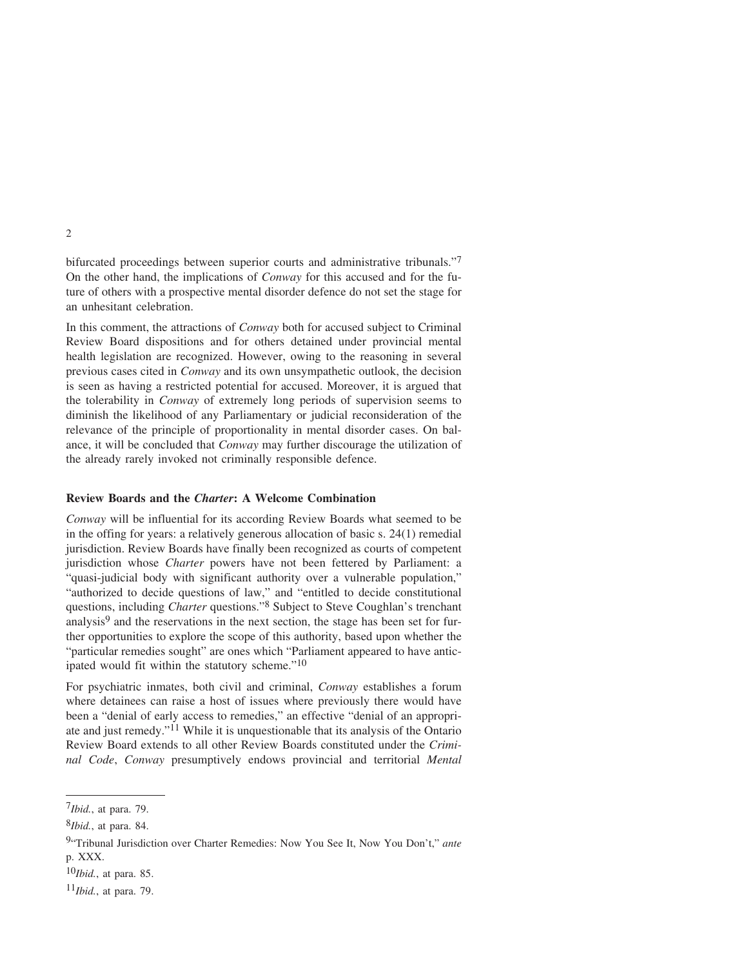bifurcated proceedings between superior courts and administrative tribunals."7 On the other hand, the implications of *Conway* for this accused and for the future of others with a prospective mental disorder defence do not set the stage for an unhesitant celebration.

In this comment, the attractions of *Conway* both for accused subject to Criminal Review Board dispositions and for others detained under provincial mental health legislation are recognized. However, owing to the reasoning in several previous cases cited in *Conway* and its own unsympathetic outlook, the decision is seen as having a restricted potential for accused. Moreover, it is argued that the tolerability in *Conway* of extremely long periods of supervision seems to diminish the likelihood of any Parliamentary or judicial reconsideration of the relevance of the principle of proportionality in mental disorder cases. On balance, it will be concluded that *Conway* may further discourage the utilization of the already rarely invoked not criminally responsible defence.

# **Review Boards and the** *Charter***: A Welcome Combination**

*Conway* will be influential for its according Review Boards what seemed to be in the offing for years: a relatively generous allocation of basic s. 24(1) remedial jurisdiction. Review Boards have finally been recognized as courts of competent jurisdiction whose *Charter* powers have not been fettered by Parliament: a "quasi-judicial body with significant authority over a vulnerable population," "authorized to decide questions of law," and "entitled to decide constitutional questions, including *Charter* questions."<sup>8</sup> Subject to Steve Coughlan's trenchant analysis $9$  and the reservations in the next section, the stage has been set for further opportunities to explore the scope of this authority, based upon whether the "particular remedies sought" are ones which "Parliament appeared to have anticipated would fit within the statutory scheme."<sup>10</sup>

For psychiatric inmates, both civil and criminal, *Conway* establishes a forum where detainees can raise a host of issues where previously there would have been a "denial of early access to remedies," an effective "denial of an appropriate and just remedy."11 While it is unquestionable that its analysis of the Ontario Review Board extends to all other Review Boards constituted under the *Criminal Code*, *Conway* presumptively endows provincial and territorial *Mental*

<sup>7</sup>*Ibid.*, at para. 79.

<sup>8</sup>*Ibid.*, at para. 84.

<sup>9&</sup>quot;Tribunal Jurisdiction over Charter Remedies: Now You See It, Now You Don't," *ante* p. XXX.

<sup>10</sup>*Ibid.*, at para. 85.

<sup>11</sup>*Ibid.*, at para. 79.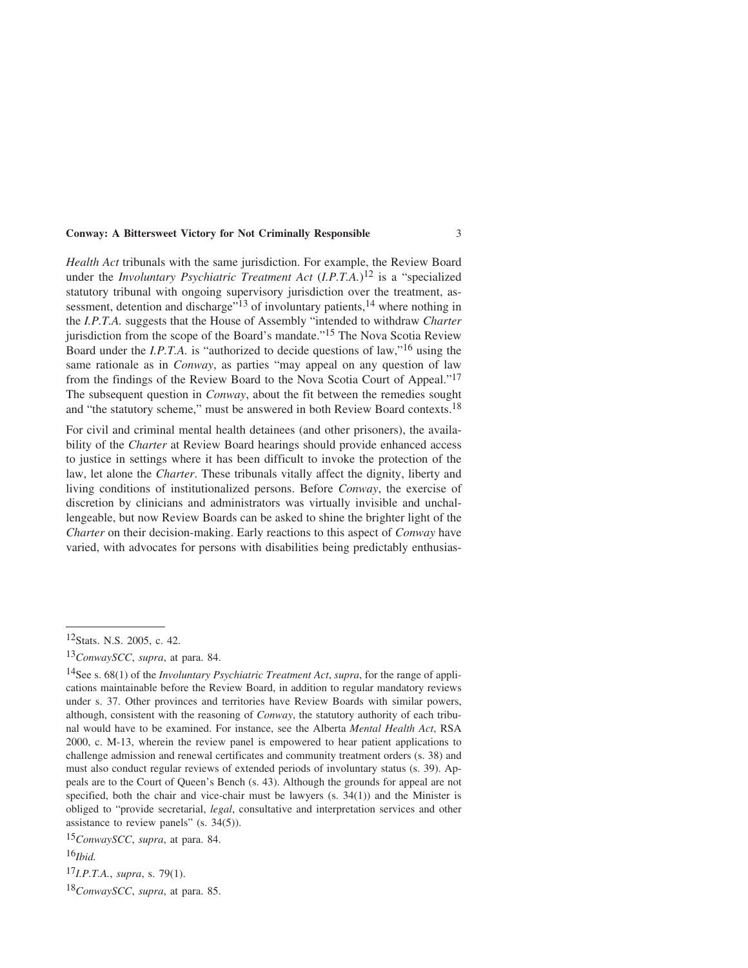*Health Act* tribunals with the same jurisdiction. For example, the Review Board under the *Involuntary Psychiatric Treatment Act* (*I.P.T.A.*)12 is a "specialized statutory tribunal with ongoing supervisory jurisdiction over the treatment, assessment, detention and discharge"<sup>13</sup> of involuntary patients,<sup>14</sup> where nothing in the *I.P.T.A.* suggests that the House of Assembly "intended to withdraw *Charter* jurisdiction from the scope of the Board's mandate."15 The Nova Scotia Review Board under the *I.P.T.A.* is "authorized to decide questions of law,"16 using the same rationale as in *Conway*, as parties "may appeal on any question of law from the findings of the Review Board to the Nova Scotia Court of Appeal."17 The subsequent question in *Conway*, about the fit between the remedies sought and "the statutory scheme," must be answered in both Review Board contexts.18

For civil and criminal mental health detainees (and other prisoners), the availability of the *Charter* at Review Board hearings should provide enhanced access to justice in settings where it has been difficult to invoke the protection of the law, let alone the *Charter*. These tribunals vitally affect the dignity, liberty and living conditions of institutionalized persons. Before *Conway*, the exercise of discretion by clinicians and administrators was virtually invisible and unchallengeable, but now Review Boards can be asked to shine the brighter light of the *Charter* on their decision-making. Early reactions to this aspect of *Conway* have varied, with advocates for persons with disabilities being predictably enthusias-

16*Ibid.*

17*I.P.T.A.*, *supra*, s. 79(1).

18*ConwaySCC*, *supra*, at para. 85.

<sup>12</sup>Stats. N.S. 2005, c. 42.

<sup>13</sup>*ConwaySCC*, *supra*, at para. 84.

<sup>14</sup>See s. 68(1) of the *Involuntary Psychiatric Treatment Act*, *supra*, for the range of applications maintainable before the Review Board, in addition to regular mandatory reviews under s. 37. Other provinces and territories have Review Boards with similar powers, although, consistent with the reasoning of *Conway*, the statutory authority of each tribunal would have to be examined. For instance, see the Alberta *Mental Health Act*, RSA 2000, c. M-13, wherein the review panel is empowered to hear patient applications to challenge admission and renewal certificates and community treatment orders (s. 38) and must also conduct regular reviews of extended periods of involuntary status (s. 39). Appeals are to the Court of Queen's Bench (s. 43). Although the grounds for appeal are not specified, both the chair and vice-chair must be lawyers  $(s, 34(1))$  and the Minister is obliged to "provide secretarial, *legal*, consultative and interpretation services and other assistance to review panels" (s. 34(5)).

<sup>15</sup>*ConwaySCC*, *supra*, at para. 84.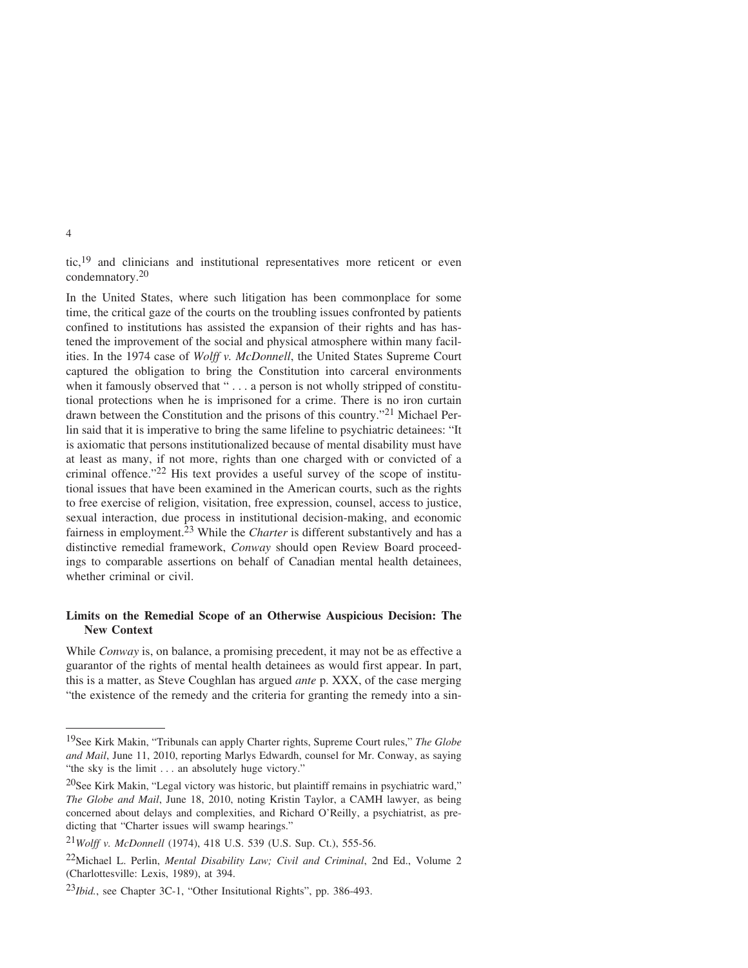tic,19 and clinicians and institutional representatives more reticent or even condemnatory.20

In the United States, where such litigation has been commonplace for some time, the critical gaze of the courts on the troubling issues confronted by patients confined to institutions has assisted the expansion of their rights and has hastened the improvement of the social and physical atmosphere within many facilities. In the 1974 case of *Wolff v. McDonnell*, the United States Supreme Court captured the obligation to bring the Constitution into carceral environments when it famously observed that "... a person is not wholly stripped of constitutional protections when he is imprisoned for a crime. There is no iron curtain drawn between the Constitution and the prisons of this country."21 Michael Perlin said that it is imperative to bring the same lifeline to psychiatric detainees: "It is axiomatic that persons institutionalized because of mental disability must have at least as many, if not more, rights than one charged with or convicted of a criminal offence."22 His text provides a useful survey of the scope of institutional issues that have been examined in the American courts, such as the rights to free exercise of religion, visitation, free expression, counsel, access to justice, sexual interaction, due process in institutional decision-making, and economic fairness in employment.<sup>23</sup> While the *Charter* is different substantively and has a distinctive remedial framework, *Conway* should open Review Board proceedings to comparable assertions on behalf of Canadian mental health detainees, whether criminal or civil.

# **Limits on the Remedial Scope of an Otherwise Auspicious Decision: The New Context**

While *Conway* is, on balance, a promising precedent, it may not be as effective a guarantor of the rights of mental health detainees as would first appear. In part, this is a matter, as Steve Coughlan has argued *ante* p. XXX, of the case merging "the existence of the remedy and the criteria for granting the remedy into a sin-

<sup>19</sup>See Kirk Makin, "Tribunals can apply Charter rights, Supreme Court rules," *The Globe and Mail*, June 11, 2010, reporting Marlys Edwardh, counsel for Mr. Conway, as saying "the sky is the limit . . . an absolutely huge victory."

<sup>20</sup>See Kirk Makin, "Legal victory was historic, but plaintiff remains in psychiatric ward," *The Globe and Mail*, June 18, 2010, noting Kristin Taylor, a CAMH lawyer, as being concerned about delays and complexities, and Richard O'Reilly, a psychiatrist, as predicting that "Charter issues will swamp hearings."

<sup>21</sup>*Wolff v. McDonnell* (1974), 418 U.S. 539 (U.S. Sup. Ct.), 555-56.

<sup>22</sup>Michael L. Perlin, *Mental Disability Law; Civil and Criminal*, 2nd Ed., Volume 2 (Charlottesville: Lexis, 1989), at 394.

<sup>23</sup>*Ibid.*, see Chapter 3C-1, "Other Insitutional Rights", pp. 386-493.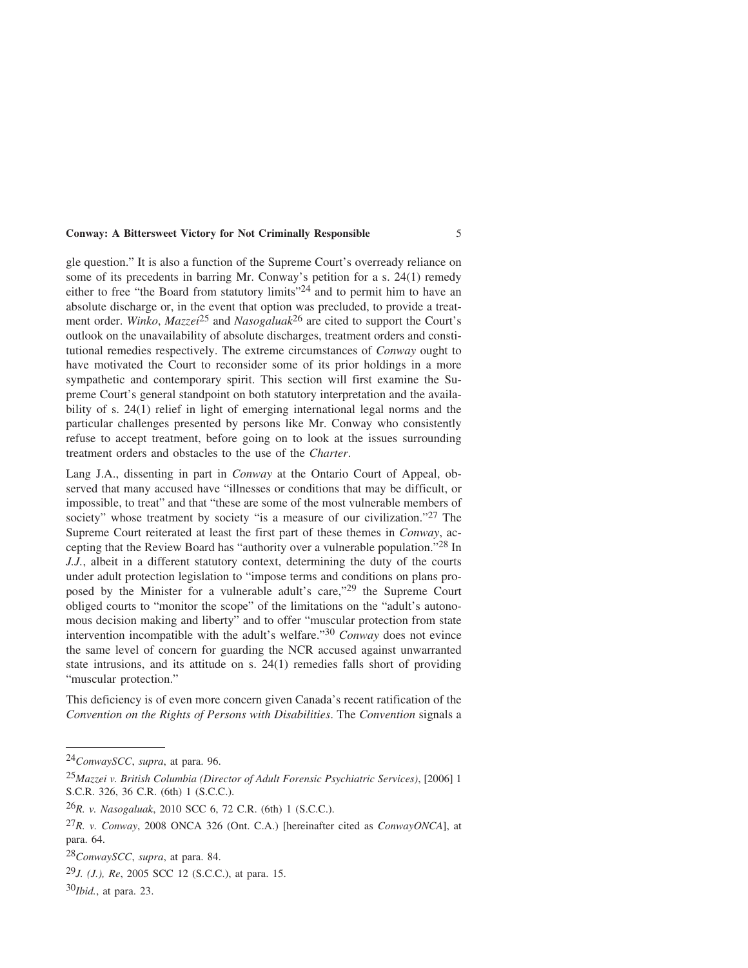gle question." It is also a function of the Supreme Court's overready reliance on some of its precedents in barring Mr. Conway's petition for a s. 24(1) remedy either to free "the Board from statutory limits"<sup>24</sup> and to permit him to have an absolute discharge or, in the event that option was precluded, to provide a treatment order. *Winko*, *Mazzei*25 and *Nasogaluak*26 are cited to support the Court's outlook on the unavailability of absolute discharges, treatment orders and constitutional remedies respectively. The extreme circumstances of *Conway* ought to have motivated the Court to reconsider some of its prior holdings in a more sympathetic and contemporary spirit. This section will first examine the Supreme Court's general standpoint on both statutory interpretation and the availability of s. 24(1) relief in light of emerging international legal norms and the particular challenges presented by persons like Mr. Conway who consistently refuse to accept treatment, before going on to look at the issues surrounding treatment orders and obstacles to the use of the *Charter*.

Lang J.A., dissenting in part in *Conway* at the Ontario Court of Appeal, observed that many accused have "illnesses or conditions that may be difficult, or impossible, to treat" and that "these are some of the most vulnerable members of society" whose treatment by society "is a measure of our civilization."<sup>27</sup> The Supreme Court reiterated at least the first part of these themes in *Conway*, accepting that the Review Board has "authority over a vulnerable population."28 In *J.J.*, albeit in a different statutory context, determining the duty of the courts under adult protection legislation to "impose terms and conditions on plans proposed by the Minister for a vulnerable adult's care,"29 the Supreme Court obliged courts to "monitor the scope" of the limitations on the "adult's autonomous decision making and liberty" and to offer "muscular protection from state intervention incompatible with the adult's welfare."30 *Conway* does not evince the same level of concern for guarding the NCR accused against unwarranted state intrusions, and its attitude on s. 24(1) remedies falls short of providing "muscular protection."

This deficiency is of even more concern given Canada's recent ratification of the *Convention on the Rights of Persons with Disabilities*. The *Convention* signals a

<sup>24</sup>*ConwaySCC*, *supra*, at para. 96.

<sup>25</sup>*Mazzei v. British Columbia (Director of Adult Forensic Psychiatric Services)*, [2006] 1 S.C.R. 326, 36 C.R. (6th) 1 (S.C.C.).

<sup>26</sup>*R. v. Nasogaluak*, 2010 SCC 6, 72 C.R. (6th) 1 (S.C.C.).

<sup>27</sup>*R. v. Conway*, 2008 ONCA 326 (Ont. C.A.) [hereinafter cited as *ConwayONCA*], at para. 64.

<sup>28</sup>*ConwaySCC*, *supra*, at para. 84.

<sup>29</sup>*J. (J.), Re*, 2005 SCC 12 (S.C.C.), at para. 15.

<sup>30</sup>*Ibid.*, at para. 23.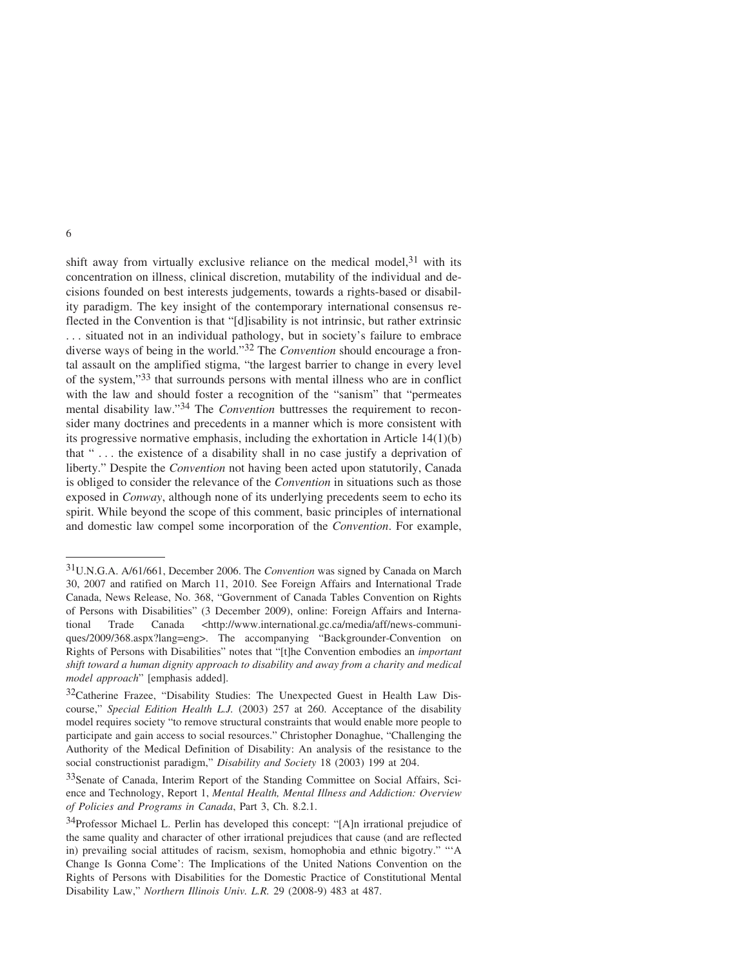shift away from virtually exclusive reliance on the medical model, $31$  with its concentration on illness, clinical discretion, mutability of the individual and decisions founded on best interests judgements, towards a rights-based or disability paradigm. The key insight of the contemporary international consensus reflected in the Convention is that "[d]isability is not intrinsic, but rather extrinsic . . . situated not in an individual pathology, but in society's failure to embrace diverse ways of being in the world."32 The *Convention* should encourage a frontal assault on the amplified stigma, "the largest barrier to change in every level of the system,"33 that surrounds persons with mental illness who are in conflict with the law and should foster a recognition of the "sanism" that "permeates mental disability law."34 The *Convention* buttresses the requirement to reconsider many doctrines and precedents in a manner which is more consistent with its progressive normative emphasis, including the exhortation in Article 14(1)(b) that " . . . the existence of a disability shall in no case justify a deprivation of liberty." Despite the *Convention* not having been acted upon statutorily, Canada is obliged to consider the relevance of the *Convention* in situations such as those exposed in *Conway*, although none of its underlying precedents seem to echo its spirit. While beyond the scope of this comment, basic principles of international and domestic law compel some incorporation of the *Convention*. For example,

<sup>31</sup>U.N.G.A. A/61/661, December 2006. The *Convention* was signed by Canada on March 30, 2007 and ratified on March 11, 2010. See Foreign Affairs and International Trade Canada, News Release, No. 368, "Government of Canada Tables Convention on Rights of Persons with Disabilities" (3 December 2009), online: Foreign Affairs and International Trade Canada <http://www.international.gc.ca/media/aff/news-communiques/2009/368.aspx?lang=eng>. The accompanying "Backgrounder-Convention on Rights of Persons with Disabilities" notes that "[t]he Convention embodies an *important shift toward a human dignity approach to disability and away from a charity and medical model approach*" [emphasis added].

<sup>&</sup>lt;sup>32</sup>Catherine Frazee, "Disability Studies: The Unexpected Guest in Health Law Discourse," *Special Edition Health L.J.* (2003) 257 at 260. Acceptance of the disability model requires society "to remove structural constraints that would enable more people to participate and gain access to social resources." Christopher Donaghue, "Challenging the Authority of the Medical Definition of Disability: An analysis of the resistance to the social constructionist paradigm," *Disability and Society* 18 (2003) 199 at 204.

<sup>33</sup>Senate of Canada, Interim Report of the Standing Committee on Social Affairs, Science and Technology, Report 1, *Mental Health, Mental Illness and Addiction: Overview of Policies and Programs in Canada*, Part 3, Ch. 8.2.1.

<sup>&</sup>lt;sup>34</sup>Professor Michael L. Perlin has developed this concept: "[A]n irrational prejudice of the same quality and character of other irrational prejudices that cause (and are reflected in) prevailing social attitudes of racism, sexism, homophobia and ethnic bigotry." "'A Change Is Gonna Come': The Implications of the United Nations Convention on the Rights of Persons with Disabilities for the Domestic Practice of Constitutional Mental Disability Law," *Northern Illinois Univ. L.R.* 29 (2008-9) 483 at 487.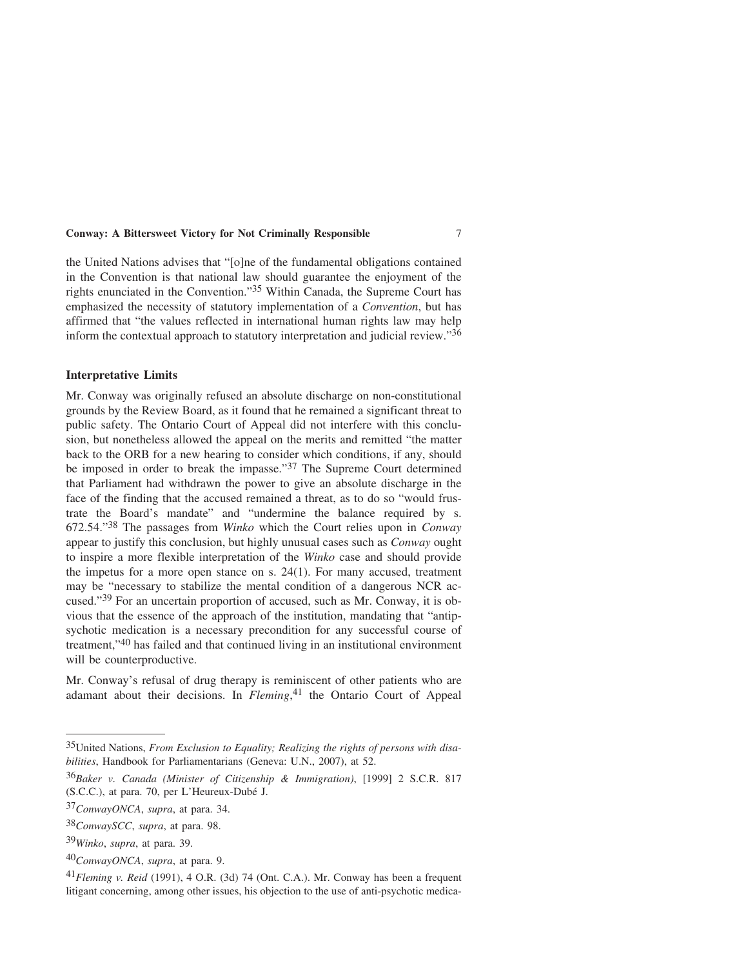the United Nations advises that "[o]ne of the fundamental obligations contained in the Convention is that national law should guarantee the enjoyment of the rights enunciated in the Convention."35 Within Canada, the Supreme Court has emphasized the necessity of statutory implementation of a *Convention*, but has affirmed that "the values reflected in international human rights law may help inform the contextual approach to statutory interpretation and judicial review."36

#### **Interpretative Limits**

Mr. Conway was originally refused an absolute discharge on non-constitutional grounds by the Review Board, as it found that he remained a significant threat to public safety. The Ontario Court of Appeal did not interfere with this conclusion, but nonetheless allowed the appeal on the merits and remitted "the matter back to the ORB for a new hearing to consider which conditions, if any, should be imposed in order to break the impasse."37 The Supreme Court determined that Parliament had withdrawn the power to give an absolute discharge in the face of the finding that the accused remained a threat, as to do so "would frustrate the Board's mandate" and "undermine the balance required by s. 672.54."38 The passages from *Winko* which the Court relies upon in *Conway* appear to justify this conclusion, but highly unusual cases such as *Conway* ought to inspire a more flexible interpretation of the *Winko* case and should provide the impetus for a more open stance on s. 24(1). For many accused, treatment may be "necessary to stabilize the mental condition of a dangerous NCR accused."39 For an uncertain proportion of accused, such as Mr. Conway, it is obvious that the essence of the approach of the institution, mandating that "antipsychotic medication is a necessary precondition for any successful course of treatment,"40 has failed and that continued living in an institutional environment will be counterproductive.

Mr. Conway's refusal of drug therapy is reminiscent of other patients who are adamant about their decisions. In *Fleming*, 41 the Ontario Court of Appeal

<sup>35</sup>United Nations, *From Exclusion to Equality; Realizing the rights of persons with disabilities*, Handbook for Parliamentarians (Geneva: U.N., 2007), at 52.

<sup>36</sup>*Baker v. Canada (Minister of Citizenship & Immigration)*, [1999] 2 S.C.R. 817 (S.C.C.), at para. 70, per L'Heureux-Dubé J.

<sup>37</sup>*ConwayONCA*, *supra*, at para. 34.

<sup>38</sup>*ConwaySCC*, *supra*, at para. 98.

<sup>39</sup>*Winko*, *supra*, at para. 39.

<sup>40</sup>*ConwayONCA*, *supra*, at para. 9.

<sup>41</sup>*Fleming v. Reid* (1991), 4 O.R. (3d) 74 (Ont. C.A.). Mr. Conway has been a frequent litigant concerning, among other issues, his objection to the use of anti-psychotic medica-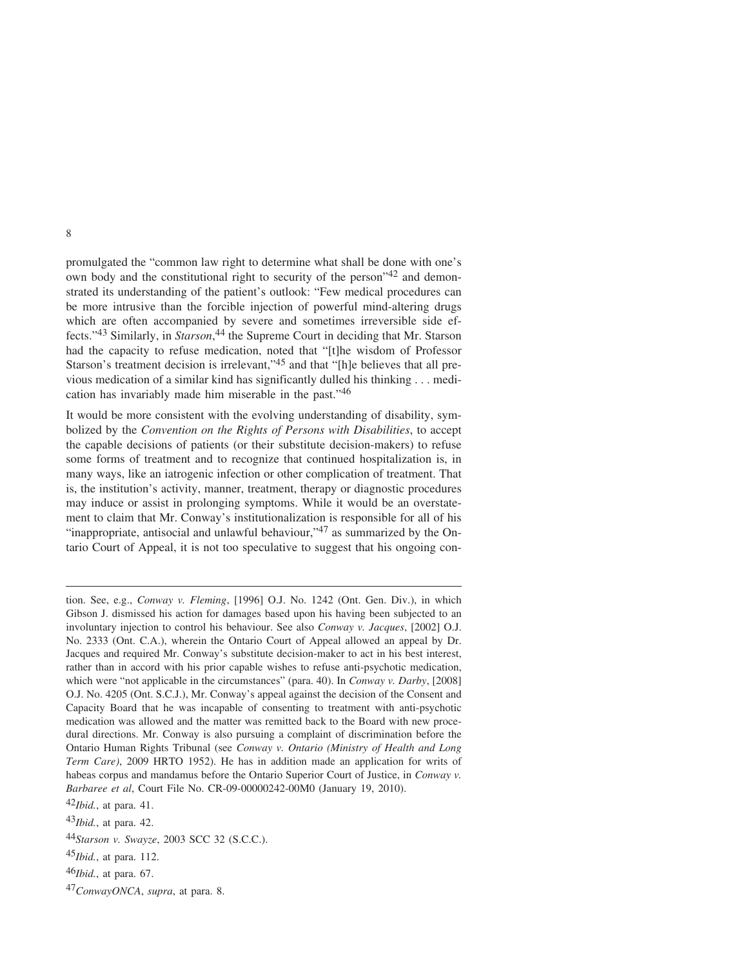promulgated the "common law right to determine what shall be done with one's own body and the constitutional right to security of the person"42 and demonstrated its understanding of the patient's outlook: "Few medical procedures can be more intrusive than the forcible injection of powerful mind-altering drugs which are often accompanied by severe and sometimes irreversible side effects."43 Similarly, in *Starson*, 44 the Supreme Court in deciding that Mr. Starson had the capacity to refuse medication, noted that "[t]he wisdom of Professor Starson's treatment decision is irrelevant,"45 and that "[h]e believes that all previous medication of a similar kind has significantly dulled his thinking . . . medication has invariably made him miserable in the past."46

It would be more consistent with the evolving understanding of disability, symbolized by the *Convention on the Rights of Persons with Disabilities*, to accept the capable decisions of patients (or their substitute decision-makers) to refuse some forms of treatment and to recognize that continued hospitalization is, in many ways, like an iatrogenic infection or other complication of treatment. That is, the institution's activity, manner, treatment, therapy or diagnostic procedures may induce or assist in prolonging symptoms. While it would be an overstatement to claim that Mr. Conway's institutionalization is responsible for all of his "inappropriate, antisocial and unlawful behaviour,"47 as summarized by the Ontario Court of Appeal, it is not too speculative to suggest that his ongoing con-

tion. See, e.g., *Conway v. Fleming*, [1996] O.J. No. 1242 (Ont. Gen. Div.), in which Gibson J. dismissed his action for damages based upon his having been subjected to an involuntary injection to control his behaviour. See also *Conway v. Jacques*, [2002] O.J. No. 2333 (Ont. C.A.), wherein the Ontario Court of Appeal allowed an appeal by Dr. Jacques and required Mr. Conway's substitute decision-maker to act in his best interest, rather than in accord with his prior capable wishes to refuse anti-psychotic medication, which were "not applicable in the circumstances" (para. 40). In *Conway v. Darby*, [2008] O.J. No. 4205 (Ont. S.C.J.), Mr. Conway's appeal against the decision of the Consent and Capacity Board that he was incapable of consenting to treatment with anti-psychotic medication was allowed and the matter was remitted back to the Board with new procedural directions. Mr. Conway is also pursuing a complaint of discrimination before the Ontario Human Rights Tribunal (see *Conway v. Ontario (Ministry of Health and Long Term Care)*, 2009 HRTO 1952). He has in addition made an application for writs of habeas corpus and mandamus before the Ontario Superior Court of Justice, in *Conway v. Barbaree et al*, Court File No. CR-09-00000242-00M0 (January 19, 2010).

<sup>42</sup>*Ibid.*, at para. 41.

<sup>43</sup>*Ibid.*, at para. 42.

<sup>44</sup>*Starson v. Swayze*, 2003 SCC 32 (S.C.C.).

<sup>45</sup>*Ibid.*, at para. 112.

<sup>46</sup>*Ibid.*, at para. 67.

<sup>47</sup>*ConwayONCA*, *supra*, at para. 8.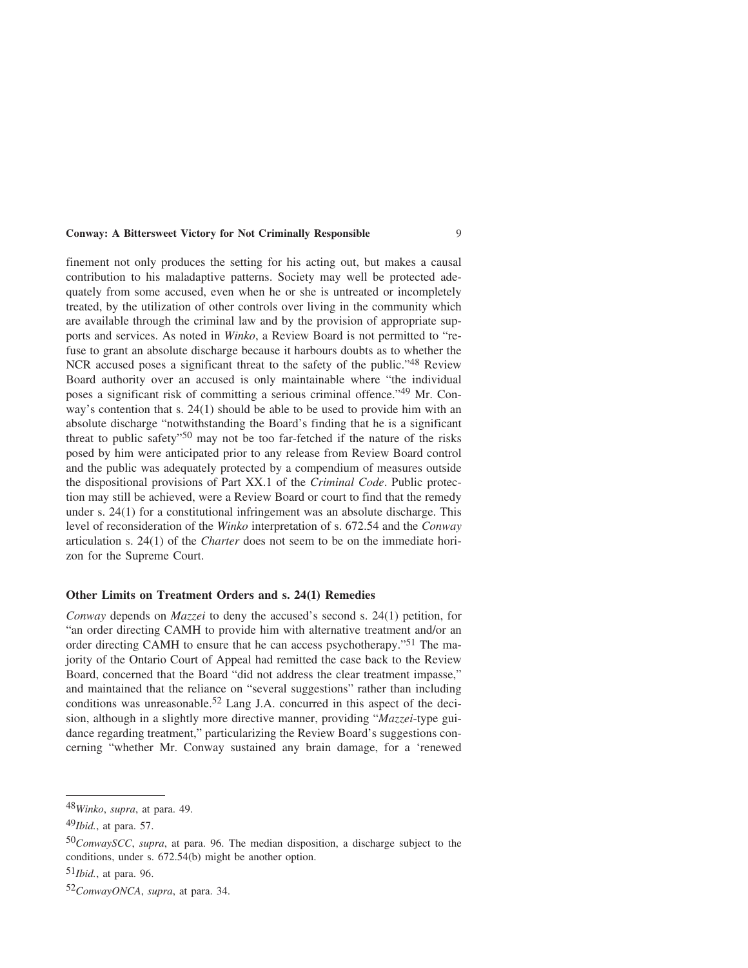finement not only produces the setting for his acting out, but makes a causal contribution to his maladaptive patterns. Society may well be protected adequately from some accused, even when he or she is untreated or incompletely treated, by the utilization of other controls over living in the community which are available through the criminal law and by the provision of appropriate supports and services. As noted in *Winko*, a Review Board is not permitted to "refuse to grant an absolute discharge because it harbours doubts as to whether the NCR accused poses a significant threat to the safety of the public."48 Review Board authority over an accused is only maintainable where "the individual poses a significant risk of committing a serious criminal offence."49 Mr. Conway's contention that s. 24(1) should be able to be used to provide him with an absolute discharge "notwithstanding the Board's finding that he is a significant threat to public safety"<sup>50</sup> may not be too far-fetched if the nature of the risks posed by him were anticipated prior to any release from Review Board control and the public was adequately protected by a compendium of measures outside the dispositional provisions of Part XX.1 of the *Criminal Code*. Public protection may still be achieved, were a Review Board or court to find that the remedy under s. 24(1) for a constitutional infringement was an absolute discharge. This level of reconsideration of the *Winko* interpretation of s. 672.54 and the *Conway* articulation s. 24(1) of the *Charter* does not seem to be on the immediate horizon for the Supreme Court.

### **Other Limits on Treatment Orders and s. 24(1) Remedies**

*Conway* depends on *Mazzei* to deny the accused's second s. 24(1) petition, for "an order directing CAMH to provide him with alternative treatment and/or an order directing CAMH to ensure that he can access psychotherapy."51 The majority of the Ontario Court of Appeal had remitted the case back to the Review Board, concerned that the Board "did not address the clear treatment impasse," and maintained that the reliance on "several suggestions" rather than including conditions was unreasonable.<sup>52</sup> Lang J.A. concurred in this aspect of the decision, although in a slightly more directive manner, providing "*Mazzei*-type guidance regarding treatment," particularizing the Review Board's suggestions concerning "whether Mr. Conway sustained any brain damage, for a 'renewed

<sup>48</sup>*Winko*, *supra*, at para. 49.

<sup>49</sup>*Ibid.*, at para. 57.

<sup>50</sup>*ConwaySCC*, *supra*, at para. 96. The median disposition, a discharge subject to the conditions, under s. 672.54(b) might be another option.

<sup>51</sup>*Ibid.*, at para. 96.

<sup>52</sup>*ConwayONCA*, *supra*, at para. 34.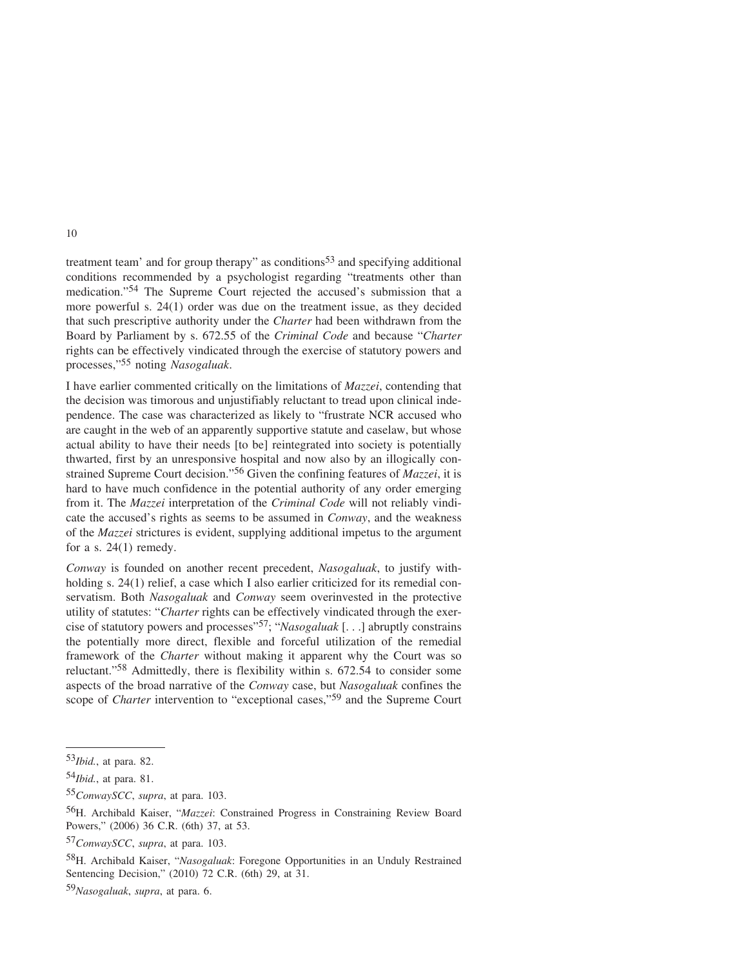treatment team' and for group therapy" as conditions<sup>53</sup> and specifying additional conditions recommended by a psychologist regarding "treatments other than medication."54 The Supreme Court rejected the accused's submission that a more powerful s. 24(1) order was due on the treatment issue, as they decided that such prescriptive authority under the *Charter* had been withdrawn from the Board by Parliament by s. 672.55 of the *Criminal Code* and because "*Charter* rights can be effectively vindicated through the exercise of statutory powers and processes,"55 noting *Nasogaluak*.

I have earlier commented critically on the limitations of *Mazzei*, contending that the decision was timorous and unjustifiably reluctant to tread upon clinical independence. The case was characterized as likely to "frustrate NCR accused who are caught in the web of an apparently supportive statute and caselaw, but whose actual ability to have their needs [to be] reintegrated into society is potentially thwarted, first by an unresponsive hospital and now also by an illogically constrained Supreme Court decision."56 Given the confining features of *Mazzei*, it is hard to have much confidence in the potential authority of any order emerging from it. The *Mazzei* interpretation of the *Criminal Code* will not reliably vindicate the accused's rights as seems to be assumed in *Conway*, and the weakness of the *Mazzei* strictures is evident, supplying additional impetus to the argument for a s. 24(1) remedy.

*Conway* is founded on another recent precedent, *Nasogaluak*, to justify withholding s. 24(1) relief, a case which I also earlier criticized for its remedial conservatism. Both *Nasogaluak* and *Conway* seem overinvested in the protective utility of statutes: "*Charter* rights can be effectively vindicated through the exercise of statutory powers and processes"57; "*Nasogaluak* [. . .] abruptly constrains the potentially more direct, flexible and forceful utilization of the remedial framework of the *Charter* without making it apparent why the Court was so reluctant."58 Admittedly, there is flexibility within s. 672.54 to consider some aspects of the broad narrative of the *Conway* case, but *Nasogaluak* confines the scope of *Charter* intervention to "exceptional cases,"<sup>59</sup> and the Supreme Court

55*ConwaySCC*, *supra*, at para. 103.

57*ConwaySCC*, *supra*, at para. 103.

58H. Archibald Kaiser, "*Nasogaluak*: Foregone Opportunities in an Unduly Restrained Sentencing Decision," (2010) 72 C.R. (6th) 29, at 31.

59*Nasogaluak*, *supra*, at para. 6.

<sup>53</sup>*Ibid.*, at para. 82.

<sup>54</sup>*Ibid.*, at para. 81.

<sup>56</sup>H. Archibald Kaiser, "*Mazzei*: Constrained Progress in Constraining Review Board Powers," (2006) 36 C.R. (6th) 37, at 53.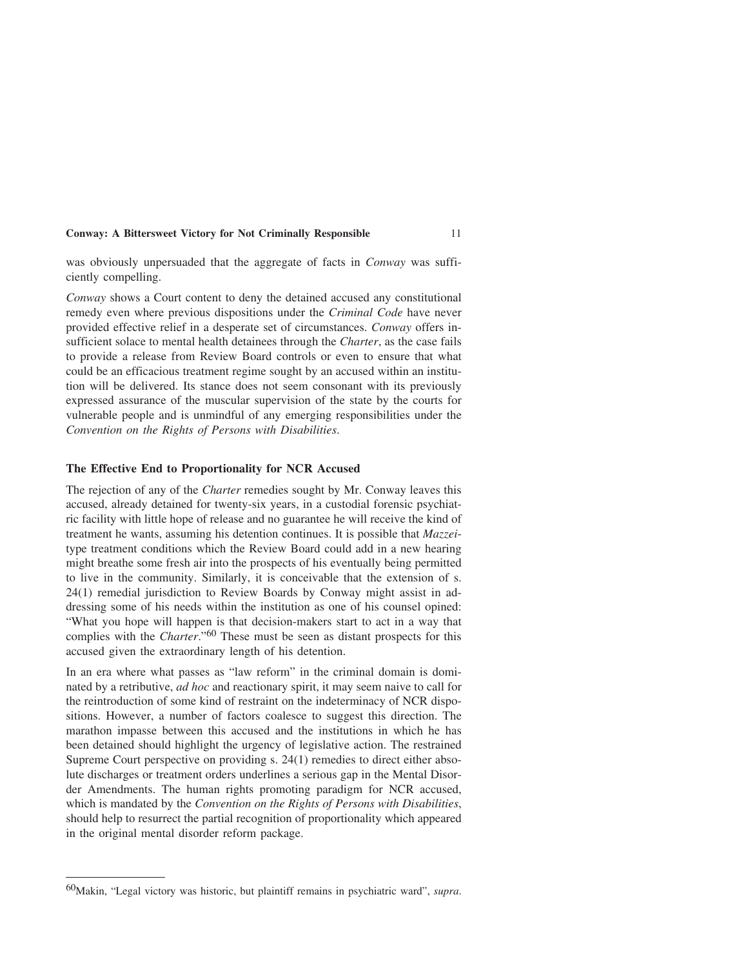was obviously unpersuaded that the aggregate of facts in *Conway* was sufficiently compelling.

*Conway* shows a Court content to deny the detained accused any constitutional remedy even where previous dispositions under the *Criminal Code* have never provided effective relief in a desperate set of circumstances. *Conway* offers insufficient solace to mental health detainees through the *Charter*, as the case fails to provide a release from Review Board controls or even to ensure that what could be an efficacious treatment regime sought by an accused within an institution will be delivered. Its stance does not seem consonant with its previously expressed assurance of the muscular supervision of the state by the courts for vulnerable people and is unmindful of any emerging responsibilities under the *Convention on the Rights of Persons with Disabilities*.

## **The Effective End to Proportionality for NCR Accused**

The rejection of any of the *Charter* remedies sought by Mr. Conway leaves this accused, already detained for twenty-six years, in a custodial forensic psychiatric facility with little hope of release and no guarantee he will receive the kind of treatment he wants, assuming his detention continues. It is possible that *Mazzei*type treatment conditions which the Review Board could add in a new hearing might breathe some fresh air into the prospects of his eventually being permitted to live in the community. Similarly, it is conceivable that the extension of s. 24(1) remedial jurisdiction to Review Boards by Conway might assist in addressing some of his needs within the institution as one of his counsel opined: "What you hope will happen is that decision-makers start to act in a way that complies with the *Charter*."60 These must be seen as distant prospects for this accused given the extraordinary length of his detention.

In an era where what passes as "law reform" in the criminal domain is dominated by a retributive, *ad hoc* and reactionary spirit, it may seem naive to call for the reintroduction of some kind of restraint on the indeterminacy of NCR dispositions. However, a number of factors coalesce to suggest this direction. The marathon impasse between this accused and the institutions in which he has been detained should highlight the urgency of legislative action. The restrained Supreme Court perspective on providing s. 24(1) remedies to direct either absolute discharges or treatment orders underlines a serious gap in the Mental Disorder Amendments. The human rights promoting paradigm for NCR accused, which is mandated by the *Convention on the Rights of Persons with Disabilities*, should help to resurrect the partial recognition of proportionality which appeared in the original mental disorder reform package.

<sup>60</sup>Makin, "Legal victory was historic, but plaintiff remains in psychiatric ward", *supra*.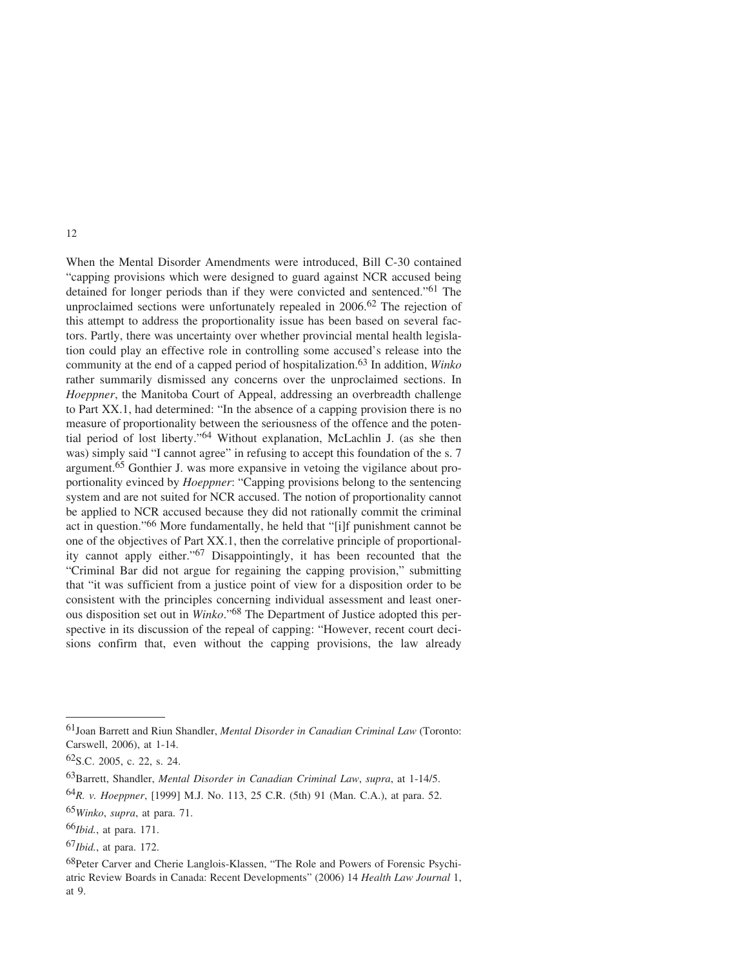When the Mental Disorder Amendments were introduced, Bill C-30 contained "capping provisions which were designed to guard against NCR accused being detained for longer periods than if they were convicted and sentenced."61 The unproclaimed sections were unfortunately repealed in 2006.<sup>62</sup> The rejection of this attempt to address the proportionality issue has been based on several factors. Partly, there was uncertainty over whether provincial mental health legislation could play an effective role in controlling some accused's release into the community at the end of a capped period of hospitalization.63 In addition, *Winko* rather summarily dismissed any concerns over the unproclaimed sections. In *Hoeppner*, the Manitoba Court of Appeal, addressing an overbreadth challenge to Part XX.1, had determined: "In the absence of a capping provision there is no measure of proportionality between the seriousness of the offence and the potential period of lost liberty."64 Without explanation, McLachlin J. (as she then was) simply said "I cannot agree" in refusing to accept this foundation of the s. 7 argument.65 Gonthier J. was more expansive in vetoing the vigilance about proportionality evinced by *Hoeppner*: "Capping provisions belong to the sentencing system and are not suited for NCR accused. The notion of proportionality cannot be applied to NCR accused because they did not rationally commit the criminal act in question."66 More fundamentally, he held that "[i]f punishment cannot be one of the objectives of Part XX.1, then the correlative principle of proportionality cannot apply either."67 Disappointingly, it has been recounted that the "Criminal Bar did not argue for regaining the capping provision," submitting that "it was sufficient from a justice point of view for a disposition order to be consistent with the principles concerning individual assessment and least onerous disposition set out in *Winko*."68 The Department of Justice adopted this perspective in its discussion of the repeal of capping: "However, recent court decisions confirm that, even without the capping provisions, the law already

<sup>61</sup>Joan Barrett and Riun Shandler, *Mental Disorder in Canadian Criminal Law* (Toronto: Carswell, 2006), at 1-14.

<sup>62</sup>S.C. 2005, c. 22, s. 24.

<sup>63</sup>Barrett, Shandler, *Mental Disorder in Canadian Criminal Law*, *supra*, at 1-14/5.

<sup>64</sup>*R. v. Hoeppner*, [1999] M.J. No. 113, 25 C.R. (5th) 91 (Man. C.A.), at para. 52.

<sup>65</sup>*Winko*, *supra*, at para. 71.

<sup>66</sup>*Ibid.*, at para. 171.

<sup>67</sup>*Ibid.*, at para. 172.

<sup>68</sup>Peter Carver and Cherie Langlois-Klassen, "The Role and Powers of Forensic Psychiatric Review Boards in Canada: Recent Developments" (2006) 14 *Health Law Journal* 1, at 9.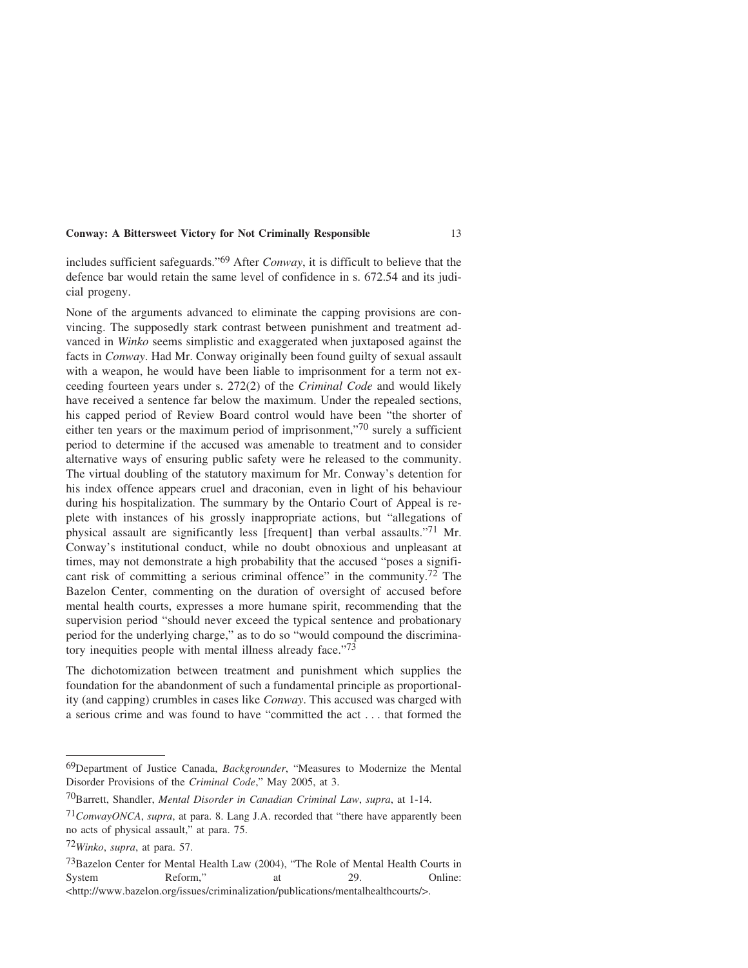includes sufficient safeguards."69 After *Conway*, it is difficult to believe that the defence bar would retain the same level of confidence in s. 672.54 and its judicial progeny.

None of the arguments advanced to eliminate the capping provisions are convincing. The supposedly stark contrast between punishment and treatment advanced in *Winko* seems simplistic and exaggerated when juxtaposed against the facts in *Conway*. Had Mr. Conway originally been found guilty of sexual assault with a weapon, he would have been liable to imprisonment for a term not exceeding fourteen years under s. 272(2) of the *Criminal Code* and would likely have received a sentence far below the maximum. Under the repealed sections, his capped period of Review Board control would have been "the shorter of either ten years or the maximum period of imprisonment,"70 surely a sufficient period to determine if the accused was amenable to treatment and to consider alternative ways of ensuring public safety were he released to the community. The virtual doubling of the statutory maximum for Mr. Conway's detention for his index offence appears cruel and draconian, even in light of his behaviour during his hospitalization. The summary by the Ontario Court of Appeal is replete with instances of his grossly inappropriate actions, but "allegations of physical assault are significantly less [frequent] than verbal assaults."71 Mr. Conway's institutional conduct, while no doubt obnoxious and unpleasant at times, may not demonstrate a high probability that the accused "poses a significant risk of committing a serious criminal offence" in the community.<sup>72</sup> The Bazelon Center, commenting on the duration of oversight of accused before mental health courts, expresses a more humane spirit, recommending that the supervision period "should never exceed the typical sentence and probationary period for the underlying charge," as to do so "would compound the discriminatory inequities people with mental illness already face."73

The dichotomization between treatment and punishment which supplies the foundation for the abandonment of such a fundamental principle as proportionality (and capping) crumbles in cases like *Conway*. This accused was charged with a serious crime and was found to have "committed the act . . . that formed the

<sup>69</sup>Department of Justice Canada, *Backgrounder*, "Measures to Modernize the Mental Disorder Provisions of the *Criminal Code*," May 2005, at 3.

<sup>70</sup>Barrett, Shandler, *Mental Disorder in Canadian Criminal Law*, *supra*, at 1-14.

<sup>71</sup>*ConwayONCA*, *supra*, at para. 8. Lang J.A. recorded that "there have apparently been no acts of physical assault," at para. 75.

<sup>72</sup>*Winko*, *supra*, at para. 57.

<sup>73</sup>Bazelon Center for Mental Health Law (2004), "The Role of Mental Health Courts in System Reform," at 29. Online: <http://www.bazelon.org/issues/criminalization/publications/mentalhealthcourts/>.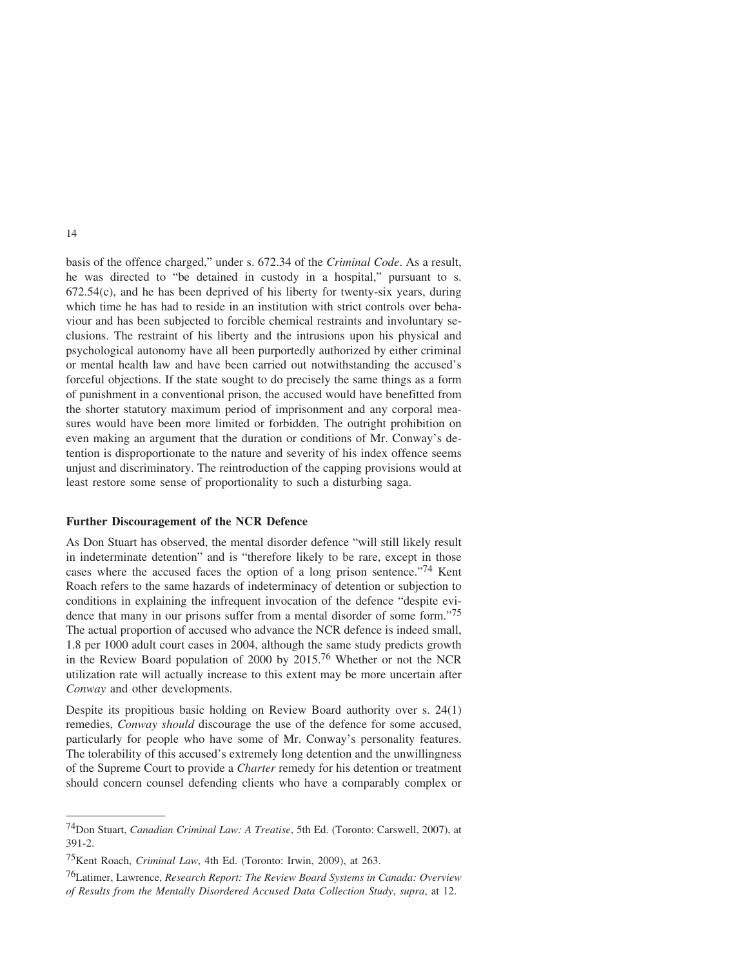basis of the offence charged," under s. 672.34 of the *Criminal Code*. As a result, he was directed to "be detained in custody in a hospital," pursuant to s. 672.54(c), and he has been deprived of his liberty for twenty-six years, during which time he has had to reside in an institution with strict controls over behaviour and has been subjected to forcible chemical restraints and involuntary seclusions. The restraint of his liberty and the intrusions upon his physical and psychological autonomy have all been purportedly authorized by either criminal or mental health law and have been carried out notwithstanding the accused's forceful objections. If the state sought to do precisely the same things as a form of punishment in a conventional prison, the accused would have benefitted from the shorter statutory maximum period of imprisonment and any corporal measures would have been more limited or forbidden. The outright prohibition on even making an argument that the duration or conditions of Mr. Conway's detention is disproportionate to the nature and severity of his index offence seems unjust and discriminatory. The reintroduction of the capping provisions would at least restore some sense of proportionality to such a disturbing saga.

#### **Further Discouragement of the NCR Defence**

As Don Stuart has observed, the mental disorder defence "will still likely result in indeterminate detention" and is "therefore likely to be rare, except in those cases where the accused faces the option of a long prison sentence."74 Kent Roach refers to the same hazards of indeterminacy of detention or subjection to conditions in explaining the infrequent invocation of the defence "despite evidence that many in our prisons suffer from a mental disorder of some form."75 The actual proportion of accused who advance the NCR defence is indeed small, 1.8 per 1000 adult court cases in 2004, although the same study predicts growth in the Review Board population of 2000 by 2015.76 Whether or not the NCR utilization rate will actually increase to this extent may be more uncertain after *Conway* and other developments.

Despite its propitious basic holding on Review Board authority over s. 24(1) remedies, *Conway should* discourage the use of the defence for some accused, particularly for people who have some of Mr. Conway's personality features. The tolerability of this accused's extremely long detention and the unwillingness of the Supreme Court to provide a *Charter* remedy for his detention or treatment should concern counsel defending clients who have a comparably complex or

<sup>74</sup>Don Stuart, *Canadian Criminal Law: A Treatise*, 5th Ed. (Toronto: Carswell, 2007), at 391-2.

<sup>75</sup>Kent Roach, *Criminal Law*, 4th Ed. (Toronto: Irwin, 2009), at 263.

<sup>76</sup>Latimer, Lawrence, *Research Report: The Review Board Systems in Canada: Overview of Results from the Mentally Disordered Accused Data Collection Study*, *supra*, at 12.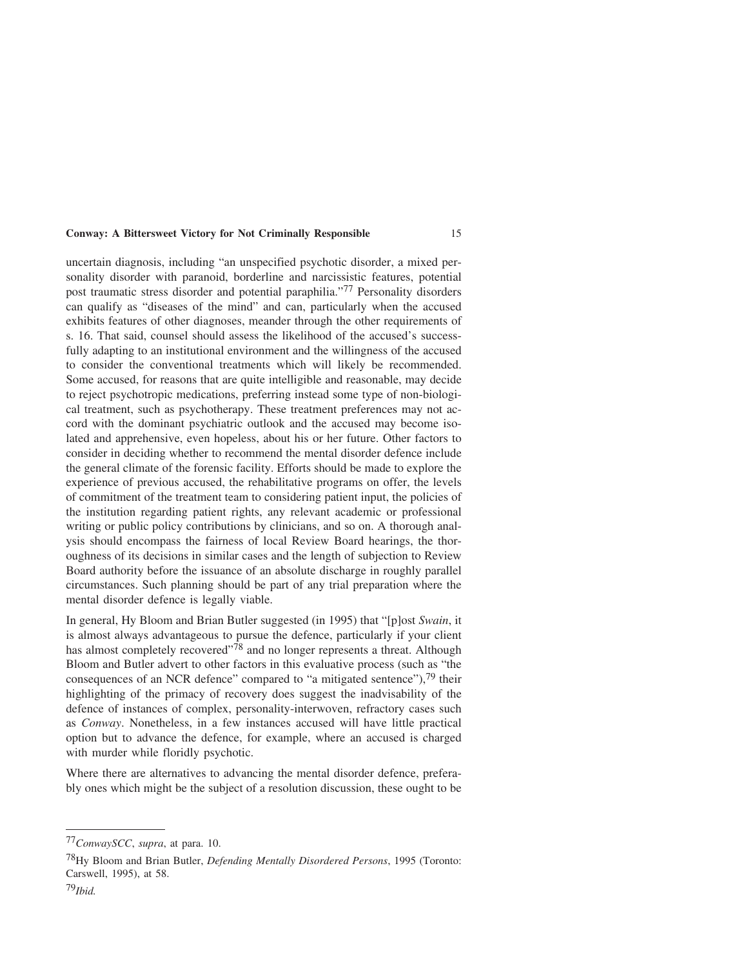uncertain diagnosis, including "an unspecified psychotic disorder, a mixed personality disorder with paranoid, borderline and narcissistic features, potential post traumatic stress disorder and potential paraphilia."77 Personality disorders can qualify as "diseases of the mind" and can, particularly when the accused exhibits features of other diagnoses, meander through the other requirements of s. 16. That said, counsel should assess the likelihood of the accused's successfully adapting to an institutional environment and the willingness of the accused to consider the conventional treatments which will likely be recommended. Some accused, for reasons that are quite intelligible and reasonable, may decide to reject psychotropic medications, preferring instead some type of non-biological treatment, such as psychotherapy. These treatment preferences may not accord with the dominant psychiatric outlook and the accused may become isolated and apprehensive, even hopeless, about his or her future. Other factors to consider in deciding whether to recommend the mental disorder defence include the general climate of the forensic facility. Efforts should be made to explore the experience of previous accused, the rehabilitative programs on offer, the levels of commitment of the treatment team to considering patient input, the policies of the institution regarding patient rights, any relevant academic or professional writing or public policy contributions by clinicians, and so on. A thorough analysis should encompass the fairness of local Review Board hearings, the thoroughness of its decisions in similar cases and the length of subjection to Review Board authority before the issuance of an absolute discharge in roughly parallel circumstances. Such planning should be part of any trial preparation where the mental disorder defence is legally viable.

In general, Hy Bloom and Brian Butler suggested (in 1995) that "[p]ost *Swain*, it is almost always advantageous to pursue the defence, particularly if your client has almost completely recovered"<sup>78</sup> and no longer represents a threat. Although Bloom and Butler advert to other factors in this evaluative process (such as "the consequences of an NCR defence" compared to "a mitigated sentence"),<sup>79</sup> their highlighting of the primacy of recovery does suggest the inadvisability of the defence of instances of complex, personality-interwoven, refractory cases such as *Conway*. Nonetheless, in a few instances accused will have little practical option but to advance the defence, for example, where an accused is charged with murder while floridly psychotic.

Where there are alternatives to advancing the mental disorder defence, preferably ones which might be the subject of a resolution discussion, these ought to be

<sup>77</sup>*ConwaySCC*, *supra*, at para. 10.

<sup>78</sup>Hy Bloom and Brian Butler, *Defending Mentally Disordered Persons*, 1995 (Toronto: Carswell, 1995), at 58.